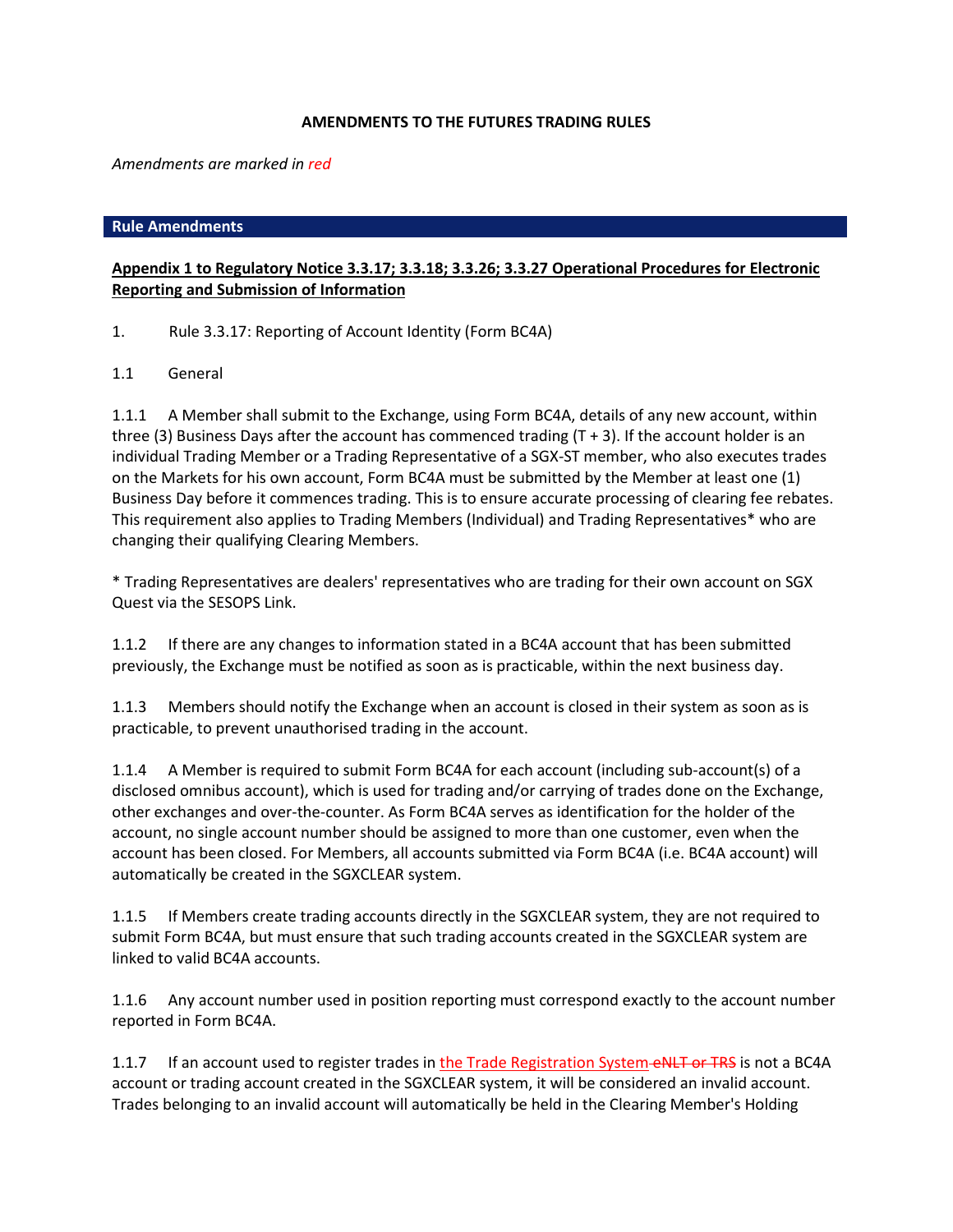# **AMENDMENTS TO THE FUTURES TRADING RULES**

*Amendments are marked in red*

## **Rule Amendments**

# **Appendix 1 to Regulatory Notice 3.3.17; 3.3.18; 3.3.26; 3.3.27 Operational Procedures for Electronic Reporting and Submission of Information**

1. Rule 3.3.17: Reporting of Account Identity (Form BC4A)

1.1 General

1.1.1 A Member shall submit to the Exchange, using Form BC4A, details of any new account, within three (3) Business Days after the account has commenced trading  $(T + 3)$ . If the account holder is an individual Trading Member or a Trading Representative of a SGX-ST member, who also executes trades on the Markets for his own account, Form BC4A must be submitted by the Member at least one (1) Business Day before it commences trading. This is to ensure accurate processing of clearing fee rebates. This requirement also applies to Trading Members (Individual) and Trading Representatives\* who are changing their qualifying Clearing Members.

\* Trading Representatives are dealers' representatives who are trading for their own account on SGX Quest via the SESOPS Link.

1.1.2 If there are any changes to information stated in a BC4A account that has been submitted previously, the Exchange must be notified as soon as is practicable, within the next business day.

1.1.3 Members should notify the Exchange when an account is closed in their system as soon as is practicable, to prevent unauthorised trading in the account.

1.1.4 A Member is required to submit Form BC4A for each account (including sub-account(s) of a disclosed omnibus account), which is used for trading and/or carrying of trades done on the Exchange, other exchanges and over-the-counter. As Form BC4A serves as identification for the holder of the account, no single account number should be assigned to more than one customer, even when the account has been closed. For Members, all accounts submitted via Form BC4A (i.e. BC4A account) will automatically be created in the SGXCLEAR system.

1.1.5 If Members create trading accounts directly in the SGXCLEAR system, they are not required to submit Form BC4A, but must ensure that such trading accounts created in the SGXCLEAR system are linked to valid BC4A accounts.

1.1.6 Any account number used in position reporting must correspond exactly to the account number reported in Form BC4A.

1.1.7 If an account used to register trades in the Trade Registration System eNLT or TRS is not a BC4A account or trading account created in the SGXCLEAR system, it will be considered an invalid account. Trades belonging to an invalid account will automatically be held in the Clearing Member's Holding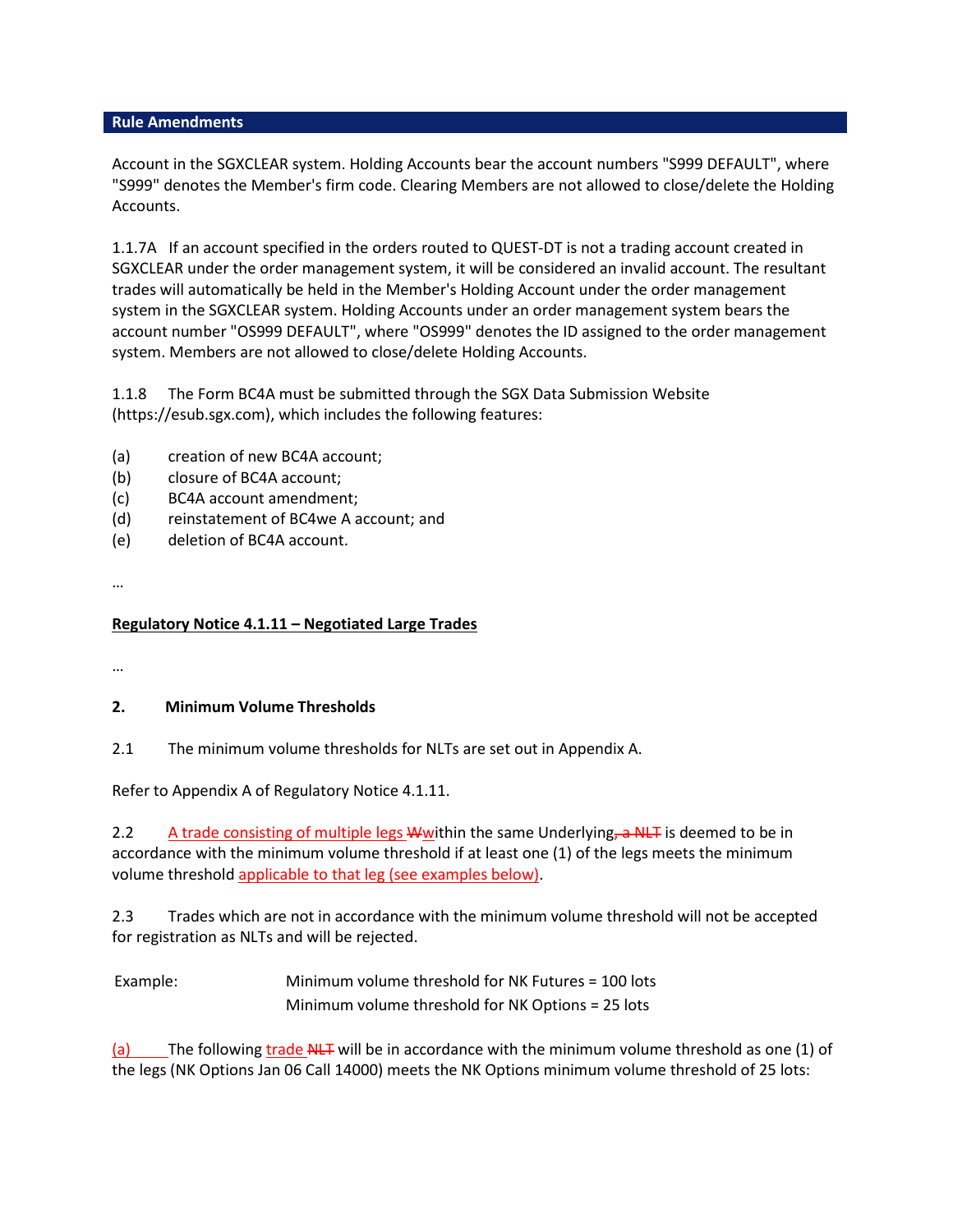Account in the SGXCLEAR system. Holding Accounts bear the account numbers "S999 DEFAULT", where "S999" denotes the Member's firm code. Clearing Members are not allowed to close/delete the Holding Accounts.

1.1.7A If an account specified in the orders routed to QUEST-DT is not a trading account created in SGXCLEAR under the order management system, it will be considered an invalid account. The resultant trades will automatically be held in the Member's Holding Account under the order management system in the SGXCLEAR system. Holding Accounts under an order management system bears the account number "OS999 DEFAULT", where "OS999" denotes the ID assigned to the order management system. Members are not allowed to close/delete Holding Accounts.

1.1.8 The Form BC4A must be submitted through the SGX Data Submission Website (https://esub.sgx.com), which includes the following features:

- (a) creation of new BC4A account;
- (b) closure of BC4A account;
- (c) BC4A account amendment;
- (d) reinstatement of BC4we A account; and
- (e) deletion of BC4A account.

…

# **Regulatory Notice 4.1.11 – Negotiated Large Trades**

…

# **2. Minimum Volume Thresholds**

2.1 The minimum volume thresholds for NLTs are set out in Appendix A.

Refer to Appendix A of Regulatory Notice 4.1.11.

2.2 A trade consisting of multiple legs Wwithin the same Underlying, a NLT is deemed to be in accordance with the minimum volume threshold if at least one (1) of the legs meets the minimum volume threshold applicable to that leg (see examples below).

2.3 Trades which are not in accordance with the minimum volume threshold will not be accepted for registration as NLTs and will be rejected.

Example: Minimum volume threshold for NK Futures = 100 lots Minimum volume threshold for NK Options = 25 lots

(a) The following trade  $NLT$  will be in accordance with the minimum volume threshold as one (1) of the legs (NK Options Jan 06 Call 14000) meets the NK Options minimum volume threshold of 25 lots: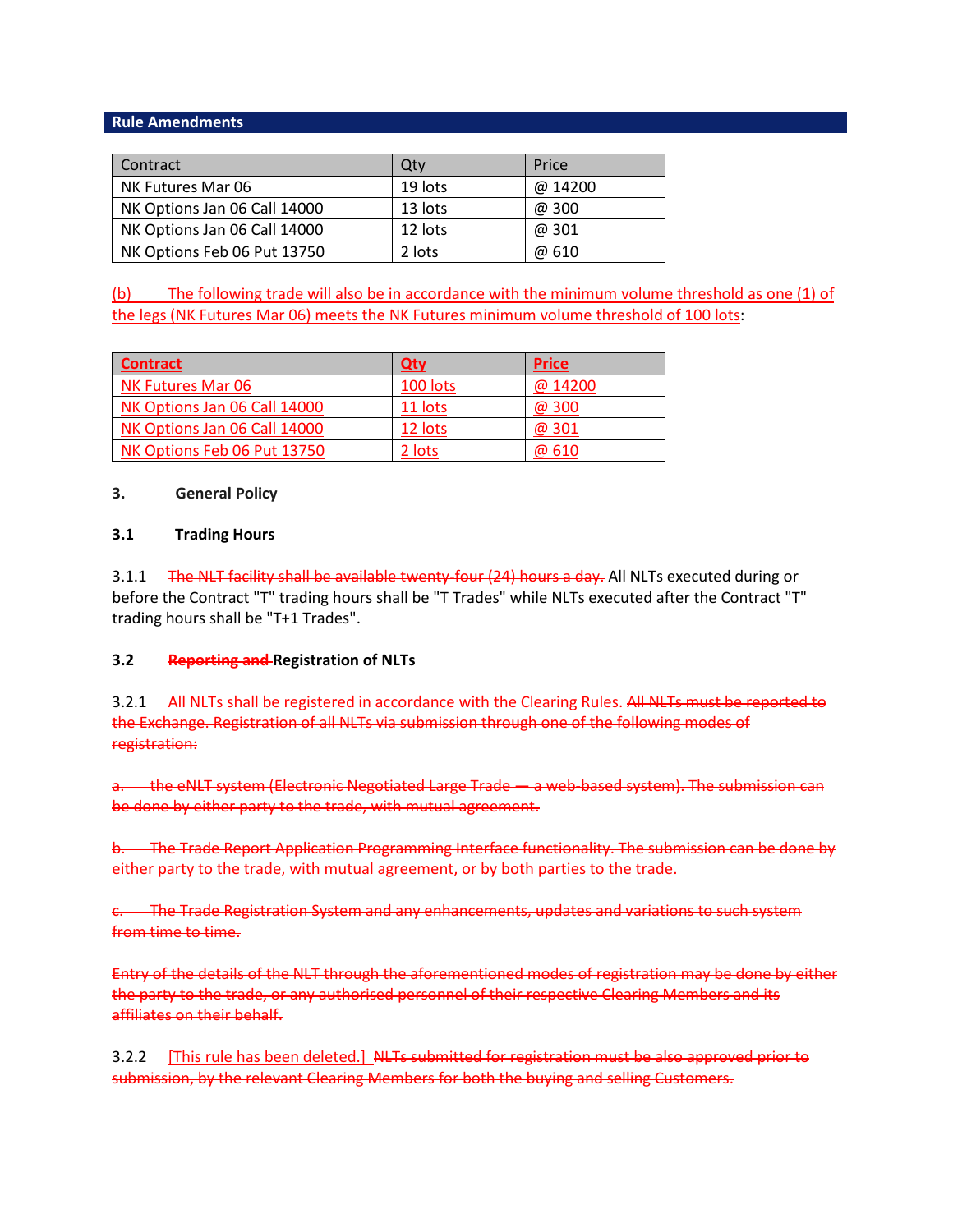| Contract                     | Qty     | Price   |
|------------------------------|---------|---------|
| NK Futures Mar 06            | 19 lots | @ 14200 |
| NK Options Jan 06 Call 14000 | 13 lots | @ 300   |
| NK Options Jan 06 Call 14000 | 12 lots | @ 301   |
| NK Options Feb 06 Put 13750  | 2 lots  | @ 610   |

(b) The following trade will also be in accordance with the minimum volume threshold as one (1) of the legs (NK Futures Mar 06) meets the NK Futures minimum volume threshold of 100 lots:

| <b>Contract</b>              | Qty      | <b>Price</b> |
|------------------------------|----------|--------------|
| <b>NK Futures Mar 06</b>     | 100 lots | @ 14200      |
| NK Options Jan 06 Call 14000 | 11 lots  | @ 300        |
| NK Options Jan 06 Call 14000 | 12 lots  | @ 301        |
| NK Options Feb 06 Put 13750  | 2 lots   | @ 610        |

## **3. General Policy**

## **3.1 Trading Hours**

3.1.1 The NLT facility shall be available twenty-four (24) hours a day. All NLTs executed during or before the Contract "T" trading hours shall be "T Trades" while NLTs executed after the Contract "T" trading hours shall be "T+1 Trades".

#### **3.2 Reporting and Registration of NLTs**

3.2.1 All NLTs shall be registered in accordance with the Clearing Rules. All NLTs must be reported to the Exchange. Registration of all NLTs via submission through one of the following modes of registration:

a. the eNLT system (Electronic Negotiated Large Trade — a web-based system). The submission can be done by either party to the trade, with mutual agreement.

b. The Trade Report Application Programming Interface functionality. The submission can be done by either party to the trade, with mutual agreement, or by both parties to the trade.

c. The Trade Registration System and any enhancements, updates and variations to such system from time to time.

Entry of the details of the NLT through the aforementioned modes of registration may be done by either the party to the trade, or any authorised personnel of their respective Clearing Members and its affiliates on their behalf.

3.2.2 [This rule has been deleted.] NLTs submitted for registration must be also approved prior to submission, by the relevant Clearing Members for both the buying and selling Customers.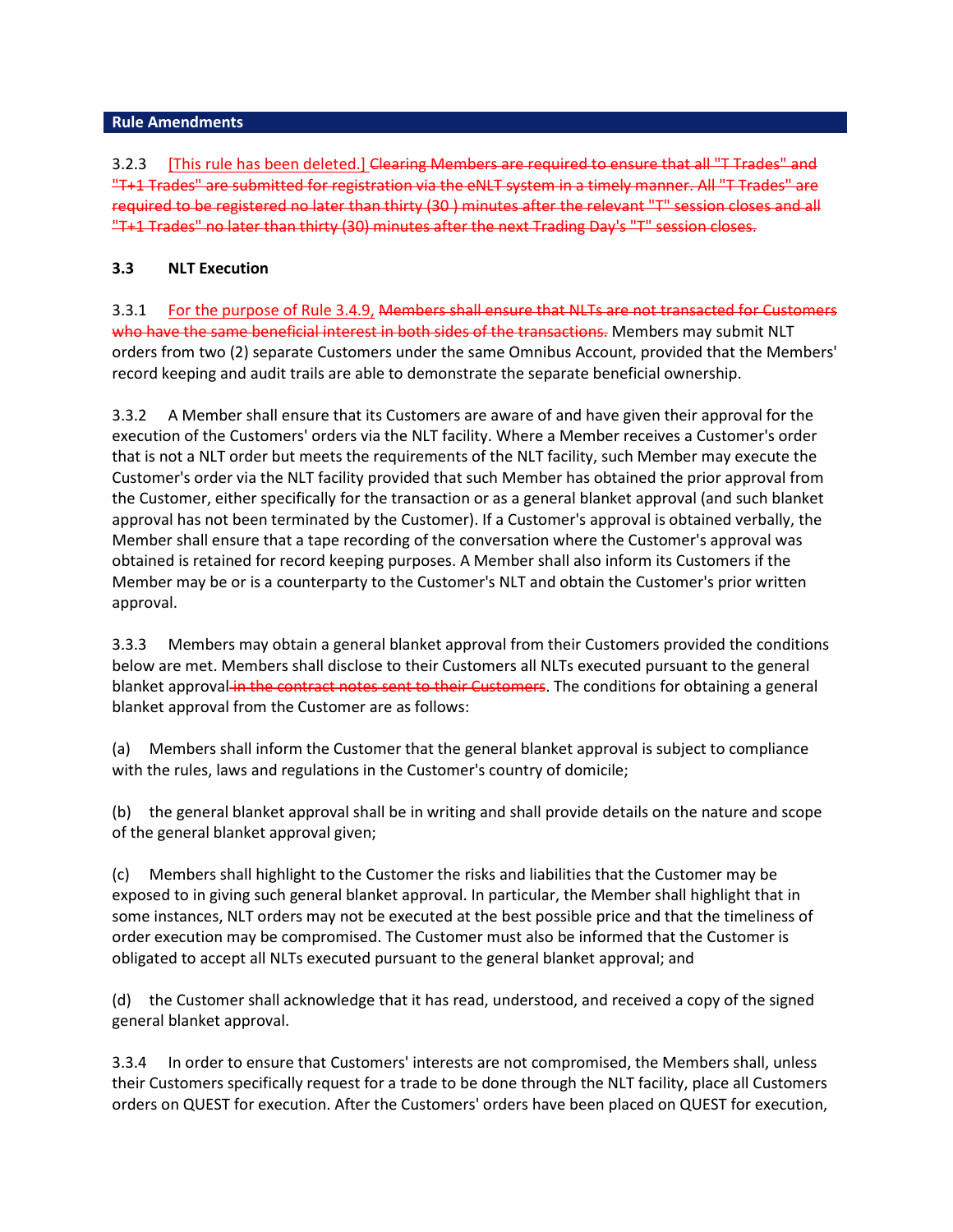3.2.3 [This rule has been deleted.] Clearing Members are required to ensure that all "T Trades" and "T+1 Trades" are submitted for registration via the eNLT system in a timely manner. All "T Trades" are required to be registered no later than thirty (30 ) minutes after the relevant "T" session closes and all "T+1 Trades" no later than thirty (30) minutes after the next Trading Day's "T" session closes.

# **3.3 NLT Execution**

3.3.1 For the purpose of Rule 3.4.9, Members shall ensure that NLTs are not transacted for Customers who have the same beneficial interest in both sides of the transactions. Members may submit NLT orders from two (2) separate Customers under the same Omnibus Account, provided that the Members' record keeping and audit trails are able to demonstrate the separate beneficial ownership.

3.3.2 A Member shall ensure that its Customers are aware of and have given their approval for the execution of the Customers' orders via the NLT facility. Where a Member receives a Customer's order that is not a NLT order but meets the requirements of the NLT facility, such Member may execute the Customer's order via the NLT facility provided that such Member has obtained the prior approval from the Customer, either specifically for the transaction or as a general blanket approval (and such blanket approval has not been terminated by the Customer). If a Customer's approval is obtained verbally, the Member shall ensure that a tape recording of the conversation where the Customer's approval was obtained is retained for record keeping purposes. A Member shall also inform its Customers if the Member may be or is a counterparty to the Customer's NLT and obtain the Customer's prior written approval.

3.3.3 Members may obtain a general blanket approval from their Customers provided the conditions below are met. Members shall disclose to their Customers all NLTs executed pursuant to the general blanket approval in the contract notes sent to their Customers. The conditions for obtaining a general blanket approval from the Customer are as follows:

(a) Members shall inform the Customer that the general blanket approval is subject to compliance with the rules, laws and regulations in the Customer's country of domicile;

(b) the general blanket approval shall be in writing and shall provide details on the nature and scope of the general blanket approval given;

(c) Members shall highlight to the Customer the risks and liabilities that the Customer may be exposed to in giving such general blanket approval. In particular, the Member shall highlight that in some instances, NLT orders may not be executed at the best possible price and that the timeliness of order execution may be compromised. The Customer must also be informed that the Customer is obligated to accept all NLTs executed pursuant to the general blanket approval; and

(d) the Customer shall acknowledge that it has read, understood, and received a copy of the signed general blanket approval.

3.3.4 In order to ensure that Customers' interests are not compromised, the Members shall, unless their Customers specifically request for a trade to be done through the NLT facility, place all Customers orders on QUEST for execution. After the Customers' orders have been placed on QUEST for execution,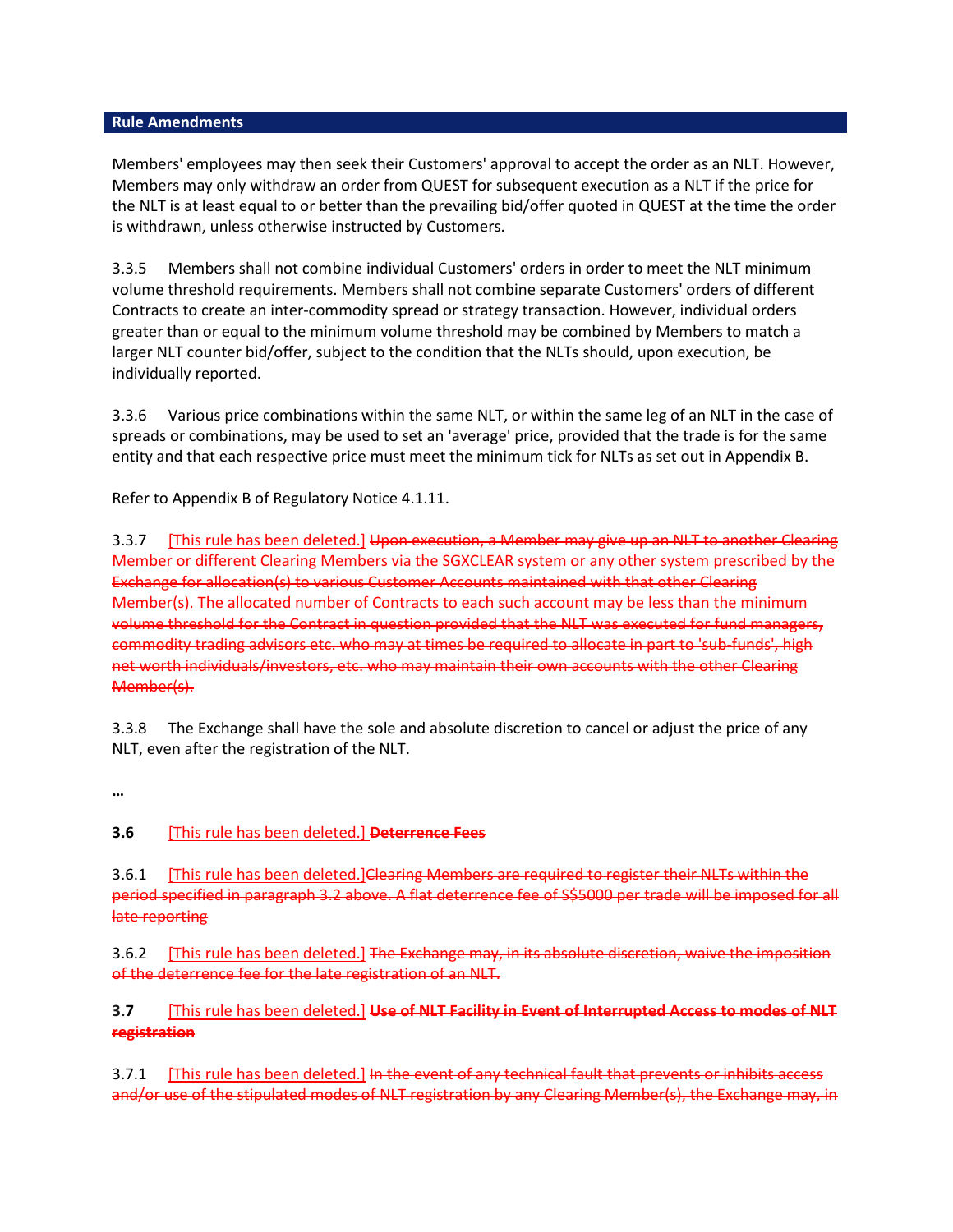Members' employees may then seek their Customers' approval to accept the order as an NLT. However, Members may only withdraw an order from QUEST for subsequent execution as a NLT if the price for the NLT is at least equal to or better than the prevailing bid/offer quoted in QUEST at the time the order is withdrawn, unless otherwise instructed by Customers.

3.3.5 Members shall not combine individual Customers' orders in order to meet the NLT minimum volume threshold requirements. Members shall not combine separate Customers' orders of different Contracts to create an inter-commodity spread or strategy transaction. However, individual orders greater than or equal to the minimum volume threshold may be combined by Members to match a larger NLT counter bid/offer, subject to the condition that the NLTs should, upon execution, be individually reported.

3.3.6 Various price combinations within the same NLT, or within the same leg of an NLT in the case of spreads or combinations, may be used to set an 'average' price, provided that the trade is for the same entity and that each respective price must meet the minimum tick for NLTs as set out in [Appendix B.](http://rulebook.sgx.com/en/display/display.html?rbid=3271&element_id=3063)

Refer t[o Appendix B of Regulatory Notice 4.1.11.](http://rulebook.sgx.com/en/display/display.html?rbid=3271&element_id=3063)

3.3.7 [This rule has been deleted.] Upon execution, a Member may give up an NLT to another Clearing Member or different Clearing Members via the SGXCLEAR system or any other system prescribed by the Exchange for allocation(s) to various Customer Accounts maintained with that other Clearing Member(s). The allocated number of Contracts to each such account may be less than the minimum volume threshold for the Contract in question provided that the NLT was executed for fund managers, commodity trading advisors etc. who may at times be required to allocate in part to 'sub-funds', high net worth individuals/investors, etc. who may maintain their own accounts with the other Clearing Member(s).

3.3.8 The Exchange shall have the sole and absolute discretion to cancel or adjust the price of any NLT, even after the registration of the NLT.

**…**

## **3.6** [This rule has been deleted.] **Deterrence Fees**

3.6.1 [This rule has been deleted.]Clearing Members are required to register their NLTs within the period specified in paragraph 3.2 above. A flat deterrence fee of S\$5000 per trade will be imposed for all late reporting

3.6.2 [This rule has been deleted.] The Exchange may, in its absolute discretion, waive the imposition of the deterrence fee for the late registration of an NLT.

# **3.7** [This rule has been deleted.] **Use of NLT Facility in Event of Interrupted Access to modes of NLT registration**

3.7.1 [This rule has been deleted.] In the event of any technical fault that prevents or inhibits access and/or use of the stipulated modes of NLT registration by any Clearing Member(s), the Exchange may, in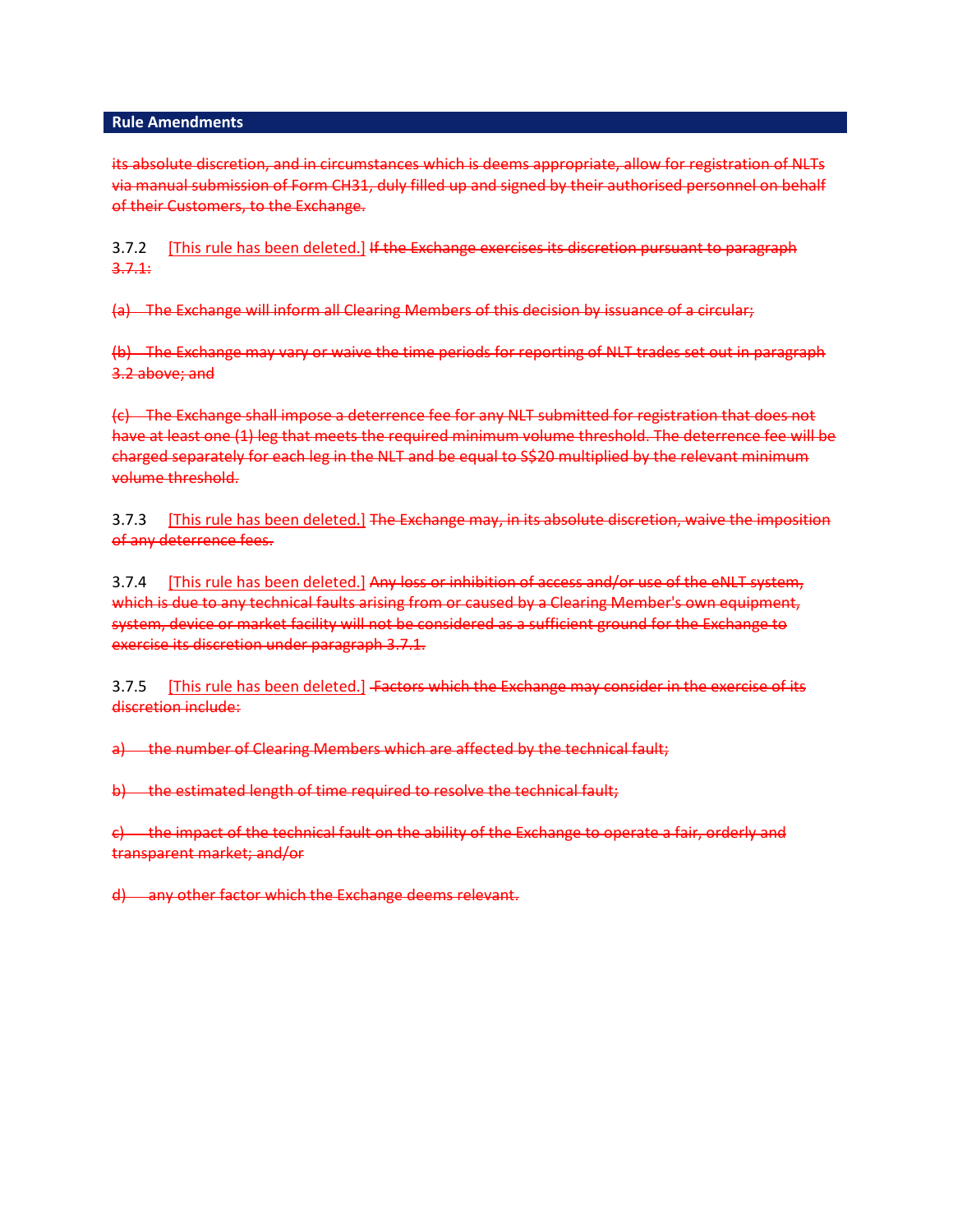its absolute discretion, and in circumstances which is deems appropriate, allow for registration of NLTs via manual submission of Form CH31, duly filled up and signed by their authorised personnel on behalf of their Customers, to the Exchange.

3.7.2 [This rule has been deleted.] If the Exchange exercises its discretion pursuant to paragraph 3.7.1:

(a) The Exchange will inform all Clearing Members of this decision by issuance of a circular;

(b) The Exchange may vary or waive the time periods for reporting of NLT trades set out in paragraph 3.2 above; and

(c) The Exchange shall impose a deterrence fee for any NLT submitted for registration that does not have at least one (1) leg that meets the required minimum volume threshold. The deterrence fee will be charged separately for each leg in the NLT and be equal to S\$20 multiplied by the relevant minimum volume threshold.

3.7.3 [This rule has been deleted.] The Exchange may, in its absolute discretion, waive the imposition of any deterrence fees.

3.7.4 [This rule has been deleted.] Any loss or inhibition of access and/or use of the eNLT system, which is due to any technical faults arising from or caused by a Clearing Member's own equipment, system, device or market facility will not be considered as a sufficient ground for the Exchange to exercise its discretion under paragraph 3.7.1.

3.7.5 [This rule has been deleted.] Factors which the Exchange may consider in the exercise of its discretion include:

a) the number of Clearing Members which are affected by the technical fault;

b) the estimated length of time required to resolve the technical fault;

 $\epsilon$ ) the impact of the technical fault on the ability of the Exchange to operate a fair, orderly and transparent market; and/or

d) any other factor which the Exchange deems relevant.